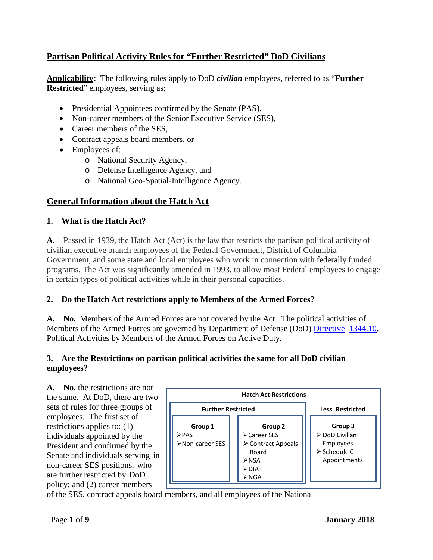# **Partisan Political Activity Rules for "Further Restricted" DoD Civilians**

**Applicability:** The following rules apply to DoD *civilian* employees, referred to as "**Further Restricted**" employees, serving as:

- Presidential Appointees confirmed by the Senate (PAS),
- Non-career members of the Senior Executive Service (SES),
- Career members of the SES,
- Contract appeals board members, or
- Employees of:
	- o National Security Agency,
	- o Defense Intelligence Agency, and
	- o National Geo-Spatial-Intelligence Agency.

# **General Information about the Hatch Act**

## **1. What is the Hatch Act?**

**A.** Passed in 1939, the Hatch Act (Act) is the law that restricts the partisan political activity of civilian executive branch employees of the Federal Government, District of Columbia Government, and some state and local employees who work in connection with federally funded programs. The Act was significantly amended in 1993, to allow most Federal employees to engage in certain types of political activities while in their personal capacities.

### **2. Do the Hatch Act restrictions apply to Members of the Armed Forces?**

**A. No.** Members of the Armed Forces are not covered by the Act. The political activities of Members of the Armed Forces are governed by Department of Defense (DoD) [Directive](http://www.dtic.mil/whs/directives/corres/pdf/134410p.pdf) [1344.10,](http://www.dtic.mil/whs/directives/corres/pdf/134410p.pdf) Political Activities by Members of the Armed Forces on Active Duty.

### **3. Are the Restrictions on partisan political activities the same for all DoD civilian employees?**

**A. No**, the restrictions are not the same. At DoD, there are two sets of rules for three groups of employees. The first set of restrictions applies to: (1) individuals appointed by the President and confirmed by the Senate and individuals serving in non-career SES positions, who are further restricted by DoD policy; and (2) career members



of the SES, contract appeals board members, and all employees of the National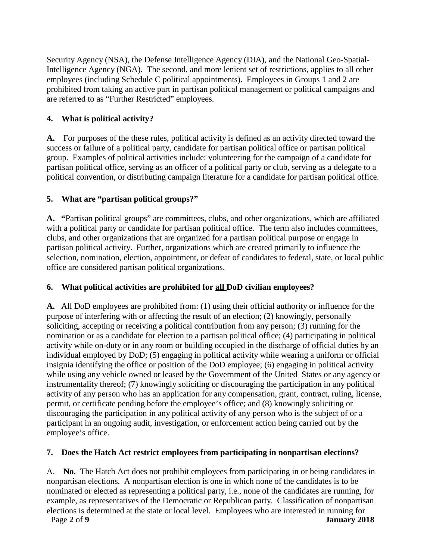Security Agency (NSA), the Defense Intelligence Agency (DIA), and the National Geo-Spatial-Intelligence Agency (NGA). The second, and more lenient set of restrictions, applies to all other employees (including Schedule C political appointments). Employees in Groups 1 and 2 are prohibited from taking an active part in partisan political management or political campaigns and are referred to as "Further Restricted" employees.

## **4. What is political activity?**

**A.** For purposes of the these rules, political activity is defined as an activity directed toward the success or failure of a political party, candidate for partisan political office or partisan political group. Examples of political activities include: volunteering for the campaign of a candidate for partisan political office, serving as an officer of a political party or club, serving as a delegate to a political convention, or distributing campaign literature for a candidate for partisan political office.

## **5. What are "partisan political groups?"**

**A. "**Partisan political groups" are committees, clubs, and other organizations, which are affiliated with a political party or candidate for partisan political office. The term also includes committees, clubs, and other organizations that are organized for a partisan political purpose or engage in partisan political activity. Further, organizations which are created primarily to influence the selection, [nomination,](http://en.wikipedia.org/wiki/Nomination) [election,](http://en.wikipedia.org/wiki/Election) appointment, or defeat of candidates to federal, state, or local public office are considered partisan political organizations.

### **6. What political activities are prohibited for all DoD civilian employees?**

**A.** All DoD employees are prohibited from: (1) using their official authority or influence for the purpose of interfering with or affecting the result of an election; (2) knowingly, personally soliciting, accepting or receiving a political contribution from any person; (3) running for the nomination or as a candidate for election to a partisan political office; (4) participating in political activity while on-duty or in any room or building occupied in the discharge of official duties by an individual employed by DoD; (5) engaging in political activity while wearing a uniform or official insignia identifying the office or position of the DoD employee; (6) engaging in political activity while using any vehicle owned or leased by the Government of the United States or any agency or instrumentality thereof; (7) knowingly soliciting or discouraging the participation in any political activity of any person who has an application for any compensation, grant, contract, ruling, license, permit, or certificate pending before the employee's office; and (8) knowingly soliciting or discouraging the participation in any political activity of any person who is the subject of or a participant in an ongoing audit, investigation, or enforcement action being carried out by the employee's office.

### **7. Does the Hatch Act restrict employees from participating in nonpartisan elections?**

Page **2** of **9 January 2018** A. **No.** The Hatch Act does not prohibit employees from participating in or being candidates in nonpartisan elections. A nonpartisan election is one in which none of the candidates is to be nominated or elected as representing a political party, i.e., none of the candidates are running, for example, as representatives of the Democratic or Republican party. Classification of nonpartisan elections is determined at the state or local level. Employees who are interested in running for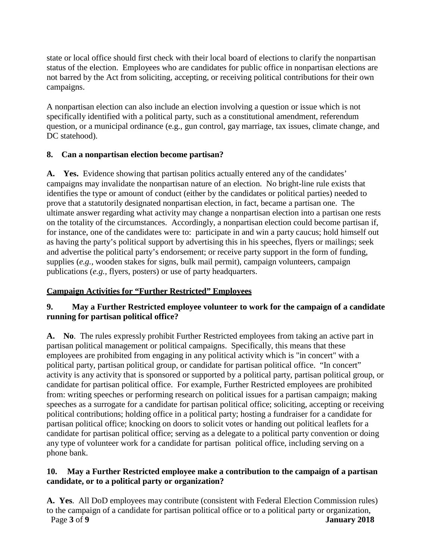state or local office should first check with their local board of elections to clarify the nonpartisan status of the election. Employees who are candidates for public office in nonpartisan elections are not barred by the Act from soliciting, accepting, or receiving political contributions for their own campaigns.

A nonpartisan election can also include an election involving a question or issue which is not specifically identified with a political party, such as a constitutional amendment, referendum question, or a municipal ordinance (e.g., gun control, gay marriage, tax issues, climate change, and DC statehood).

#### **8. Can a nonpartisan election become partisan?**

**A. Yes.** Evidence showing that partisan politics actually entered any of the candidates' campaigns may invalidate the nonpartisan nature of an election. No bright-line rule exists that identifies the type or amount of conduct (either by the candidates or political parties) needed to prove that a statutorily designated nonpartisan election, in fact, became a partisan one. The ultimate answer regarding what activity may change a nonpartisan election into a partisan one rests on the totality of the circumstances. Accordingly, a nonpartisan election could become partisan if, for instance, one of the candidates were to: participate in and win a party caucus; hold himself out as having the party's political support by advertising this in his speeches, flyers or mailings; seek and advertise the political party's endorsement; or receive party support in the form of funding, supplies (*e.g.,* wooden stakes for signs, bulk mail permit), campaign volunteers, campaign publications (*e.g.,* flyers, posters) or use of party headquarters.

### **Campaign Activities for "Further Restricted" Employees**

## **9. May a Further Restricted employee volunteer to work for the campaign of a candidate running for partisan political office?**

**A. No**. The rules expressly prohibit Further Restricted employees from taking an active part in partisan political management or political campaigns. Specifically, this means that these employees are prohibited from engaging in any political activity which is "in concert" with a political party, partisan political group, or candidate for partisan political office. "In concert" activity is any activity that is sponsored or supported by a political party, partisan political group, or candidate for partisan political office. For example, Further Restricted employees are prohibited from: writing speeches or performing research on political issues for a partisan campaign; making speeches as a surrogate for a candidate for partisan political office; soliciting, accepting or receiving political contributions; holding office in a political party; hosting a fundraiser for a candidate for partisan political office; knocking on doors to solicit votes or handing out political leaflets for a candidate for partisan political office; serving as a delegate to a political party convention or doing any type of volunteer work for a candidate for partisan political office, including serving on a phone bank.

### **10. May a Further Restricted employee make a contribution to the campaign of a partisan candidate, or to a political party or organization?**

Page **3** of **9 January 2018 A. Yes**. All DoD employees may contribute (consistent with Federal Election Commission rules) to the campaign of a candidate for partisan political office or to a political party or organization,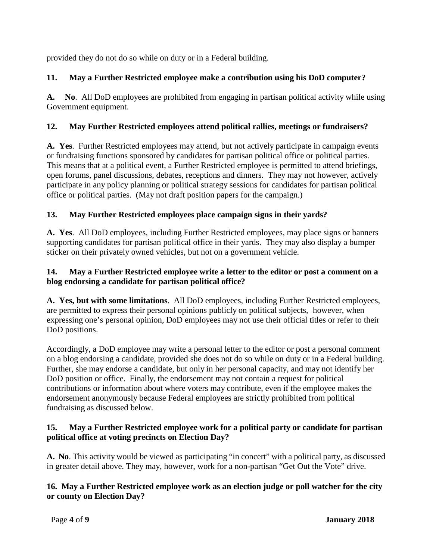provided they do not do so while on duty or in a Federal building.

## **11. May a Further Restricted employee make a contribution using his DoD computer?**

**A. No**. All DoD employees are prohibited from engaging in partisan political activity while using Government equipment.

## **12. May Further Restricted employees attend political rallies, meetings or fundraisers?**

**A. Yes**. Further Restricted employees may attend, but not actively participate in campaign events or fundraising functions sponsored by candidates for partisan political office or political parties. This means that at a political event, a Further Restricted employee is permitted to attend briefings, open forums, panel discussions, debates, receptions and dinners. They may not however, actively participate in any policy planning or political strategy sessions for candidates for partisan political office or political parties. (May not draft position papers for the campaign.)

## **13. May Further Restricted employees place campaign signs in their yards?**

**A. Yes**. All DoD employees, including Further Restricted employees, may place signs or banners supporting candidates for partisan political office in their yards. They may also display a bumper sticker on their privately owned vehicles, but not on a government vehicle.

### **14. May a Further Restricted employee write a letter to the editor or post a comment on a blog endorsing a candidate for partisan political office?**

**A. Yes, but with some limitations**. All DoD employees, including Further Restricted employees, are permitted to express their personal opinions publicly on political subjects, however, when expressing one's personal opinion, DoD employees may not use their official titles or refer to their DoD positions.

Accordingly, a DoD employee may write a personal letter to the editor or post a personal comment on a blog endorsing a candidate, provided she does not do so while on duty or in a Federal building. Further, she may endorse a candidate, but only in her personal capacity, and may not identify her DoD position or office. Finally, the endorsement may not contain a request for political contributions or information about where voters may contribute, even if the employee makes the endorsement anonymously because Federal employees are strictly prohibited from political fundraising as discussed below.

## **15. May a Further Restricted employee work for a political party or candidate for partisan political office at voting precincts on Election Day?**

**A. No**. This activity would be viewed as participating "in concert" with a political party, as discussed in greater detail above. They may, however, work for a non-partisan "Get Out the Vote" drive.

## **16. May a Further Restricted employee work as an election judge or poll watcher for the city or county on Election Day?**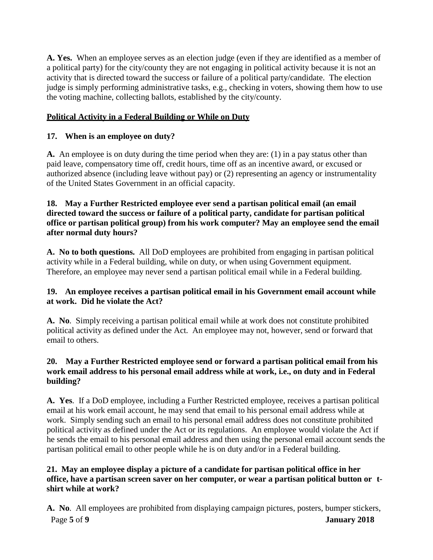**A. Yes.** When an employee serves as an election judge (even if they are identified as a member of a political party) for the city/county they are not engaging in political activity because it is not an activity that is directed toward the success or failure of a political party/candidate. The election judge is simply performing administrative tasks, e.g., checking in voters, showing them how to use the voting machine, collecting ballots, established by the city/county.

## **Political Activity in a Federal Building or While on Duty**

## **17. When is an employee on duty?**

**A.** An employee is on duty during the time period when they are: (1) in a pay status other than paid leave, compensatory time off, credit hours, time off as an incentive award, or excused or authorized absence (including leave without pay) or (2) representing an agency or instrumentality of the United States Government in an official capacity.

#### **18. May a Further Restricted employee ever send a partisan political email (an email directed toward the success or failure of a political party, candidate for partisan political office or partisan political group) from his work computer? May an employee send the email after normal duty hours?**

**A. No to both questions.** All DoD employees are prohibited from engaging in partisan political activity while in a Federal building, while on duty, or when using Government equipment. Therefore, an employee may never send a partisan political email while in a Federal building.

### **19. An employee receives a partisan political email in his Government email account while at work. Did he violate the Act?**

**A. No**. Simply receiving a partisan political email while at work does not constitute prohibited political activity as defined under the Act. An employee may not, however, send or forward that email to others.

## **20. May a Further Restricted employee send or forward a partisan political email from his work email address to his personal email address while at work, i.e., on duty and in Federal building?**

**A. Yes**. If a DoD employee, including a Further Restricted employee, receives a partisan political email at his work email account, he may send that email to his personal email address while at work. Simply sending such an email to his personal email address does not constitute prohibited political activity as defined under the Act or its regulations. An employee would violate the Act if he sends the email to his personal email address and then using the personal email account sends the partisan political email to other people while he is on duty and/or in a Federal building.

### **21. May an employee display a picture of a candidate for partisan political office in her office, have a partisan screen saver on her computer, or wear a partisan political button or tshirt while at work?**

Page **5** of **9 January 2018 A. No**. All employees are prohibited from displaying campaign pictures, posters, bumper stickers,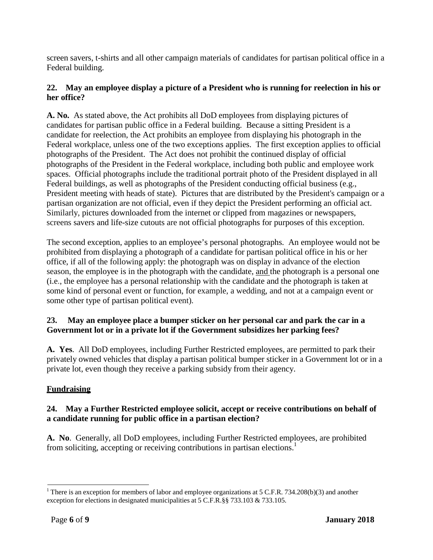screen savers, t-shirts and all other campaign materials of candidates for partisan political office in a Federal building.

### **22. May an employee display a picture of a President who is running for reelection in his or her office?**

**A. No.** As stated above, the Act prohibits all DoD employees from displaying pictures of candidates for partisan public office in a Federal building. Because a sitting President is a candidate for reelection, the Act prohibits an employee from displaying his photograph in the Federal workplace, unless one of the two exceptions applies. The first exception applies to official photographs of the President. The Act does not prohibit the continued display of official photographs of the President in the Federal workplace, including both public and employee work spaces. Official photographs include the traditional portrait photo of the President displayed in all Federal buildings, as well as photographs of the President conducting official business (e.g., President meeting with heads of state). Pictures that are distributed by the President's campaign or a partisan organization are not official, even if they depict the President performing an official act. Similarly, pictures downloaded from the internet or clipped from magazines or newspapers, screens savers and life-size cutouts are not official photographs for purposes of this exception.

The second exception, applies to an employee's personal photographs. An employee would not be prohibited from displaying a photograph of a candidate for partisan political office in his or her office, if all of the following apply: the photograph was on display in advance of the election season, the employee is in the photograph with the candidate, and the photograph is a personal one (i.e., the employee has a personal relationship with the candidate and the photograph is taken at some kind of personal event or function, for example, a wedding, and not at a campaign event or some other type of partisan political event).

## **23. May an employee place a bumper sticker on her personal car and park the car in a Government lot or in a private lot if the Government subsidizes her parking fees?**

**A. Yes**. All DoD employees, including Further Restricted employees, are permitted to park their privately owned vehicles that display a partisan political bumper sticker in a Government lot or in a private lot, even though they receive a parking subsidy from their agency.

## **Fundraising**

### **24. May a Further Restricted employee solicit, accept or receive contributions on behalf of a candidate running for public office in a partisan election?**

**A. No**. Generally, all DoD employees, including Further Restricted employees, are prohibited from soliciting, accepting or receiving contributions in partisan elections.<sup>1</sup>

<span id="page-5-0"></span><sup>&</sup>lt;sup>1</sup> There is an exception for members of labor and employee organizations at 5 C.F.R. 734.208(b)(3) and another exception for elections in designated municipalities at 5 C.F.R.§§ 733.103 & 733.105.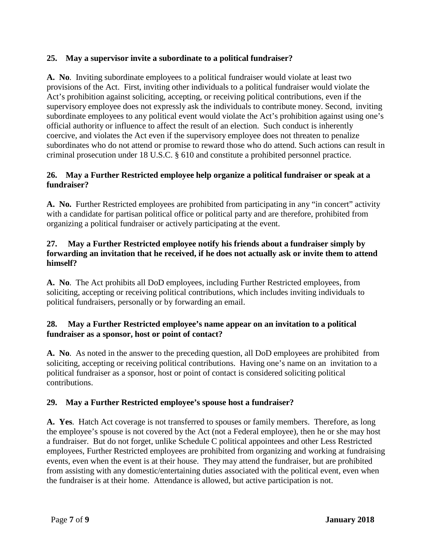## **25. May a supervisor invite a subordinate to a political fundraiser?**

**A. No**. Inviting subordinate employees to a political fundraiser would violate at least two provisions of the Act. First, inviting other individuals to a political fundraiser would violate the Act's prohibition against soliciting, accepting, or receiving political contributions, even if the supervisory employee does not expressly ask the individuals to contribute money. Second, inviting subordinate employees to any political event would violate the Act's prohibition against using one's official authority or influence to affect the result of an election. Such conduct is inherently coercive, and violates the Act even if the supervisory employee does not threaten to penalize subordinates who do not attend or promise to reward those who do attend. Such actions can result in criminal prosecution under 18 U.S.C. § 610 and constitute a prohibited personnel practice.

## **26. May a Further Restricted employee help organize a political fundraiser or speak at a fundraiser?**

**A. No.** Further Restricted employees are prohibited from participating in any "in concert" activity with a candidate for partisan political office or political party and are therefore, prohibited from organizing a political fundraiser or actively participating at the event.

### **27. May a Further Restricted employee notify his friends about a fundraiser simply by forwarding an invitation that he received, if he does not actually ask or invite them to attend himself?**

**A. No**. The Act prohibits all DoD employees, including Further Restricted employees, from soliciting, accepting or receiving political contributions, which includes inviting individuals to political fundraisers, personally or by forwarding an email.

### **28. May a Further Restricted employee's name appear on an invitation to a political fundraiser as a sponsor, host or point of contact?**

**A. No**. As noted in the answer to the preceding question, all DoD employees are prohibited from soliciting, accepting or receiving political contributions. Having one's name on an invitation to a political fundraiser as a sponsor, host or point of contact is considered soliciting political contributions.

## **29. May a Further Restricted employee's spouse host a fundraiser?**

**A. Yes**. Hatch Act coverage is not transferred to spouses or family members. Therefore, as long the employee's spouse is not covered by the Act (not a Federal employee), then he or she may host a fundraiser. But do not forget, unlike Schedule C political appointees and other Less Restricted employees, Further Restricted employees are prohibited from organizing and working at fundraising events, even when the event is at their house. They may attend the fundraiser, but are prohibited from assisting with any domestic/entertaining duties associated with the political event, even when the fundraiser is at their home. Attendance is allowed, but active participation is not.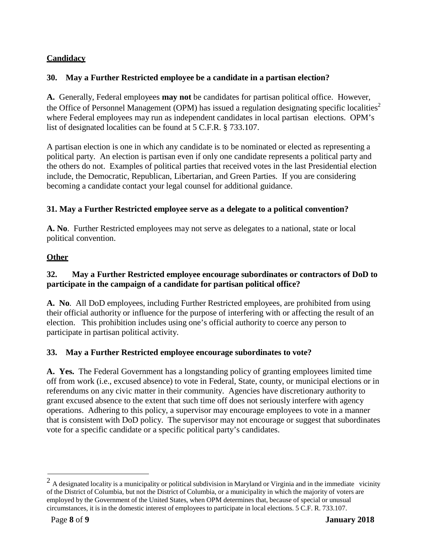# **Candidacy**

## **30. May a Further Restricted employee be a candidate in a partisan election?**

**A.** Generally, Federal employees **may not** be candidates for partisan political office. However, the Office of Personnel Management (OPM) has issued a regulation designating specific localities<sup>2</sup> where Federal employees may run as independent candidates in local partisan elections. OPM's list of designated localities can be found at 5 C.F.R. § 733.107.

A partisan election is one in which any candidate is to be nominated or elected as representing a political party. An election is partisan even if only one candidate represents a political party and the others do not. Examples of political parties that received votes in the last Presidential election include, the Democratic, Republican, Libertarian, and Green Parties. If you are considering becoming a candidate contact your legal counsel for additional guidance.

### **31. May a Further Restricted employee serve as a delegate to a political convention?**

**A. No**. Further Restricted employees may not serve as delegates to a national, state or local political convention.

### **Other**

## **32. May a Further Restricted employee encourage subordinates or contractors of DoD to participate in the campaign of a candidate for partisan political office?**

**A. No**. All DoD employees, including Further Restricted employees, are prohibited from using their official authority or influence for the purpose of interfering with or affecting the result of an election. This prohibition includes using one's official authority to coerce any person to participate in partisan political activity.

### **33. May a Further Restricted employee encourage subordinates to vote?**

**A. Yes.** The Federal Government has a longstanding policy of granting employees limited time off from work (i.e., excused absence) to vote in Federal, State, county, or municipal elections or in referendums on any civic matter in their community. Agencies have discretionary authority to grant excused absence to the extent that such time off does not seriously interfere with agency operations. Adhering to this policy, a supervisor may encourage employees to vote in a manner that is consistent with DoD policy. The supervisor may not encourage or suggest that subordinates vote for a specific candidate or a specific political party's candidates.

<span id="page-7-0"></span> $<sup>2</sup>$  A designated locality is a municipality or political subdivision in Maryland or Virginia and in the immediate vicinity</sup> of the District of Columbia, but not the District of Columbia, or a municipality in which the majority of voters are employed by the Government of the United States, when OPM determines that, because of special or unusual circumstances, it is in the domestic interest of employees to participate in local elections. 5 C.F. R. 733.107.